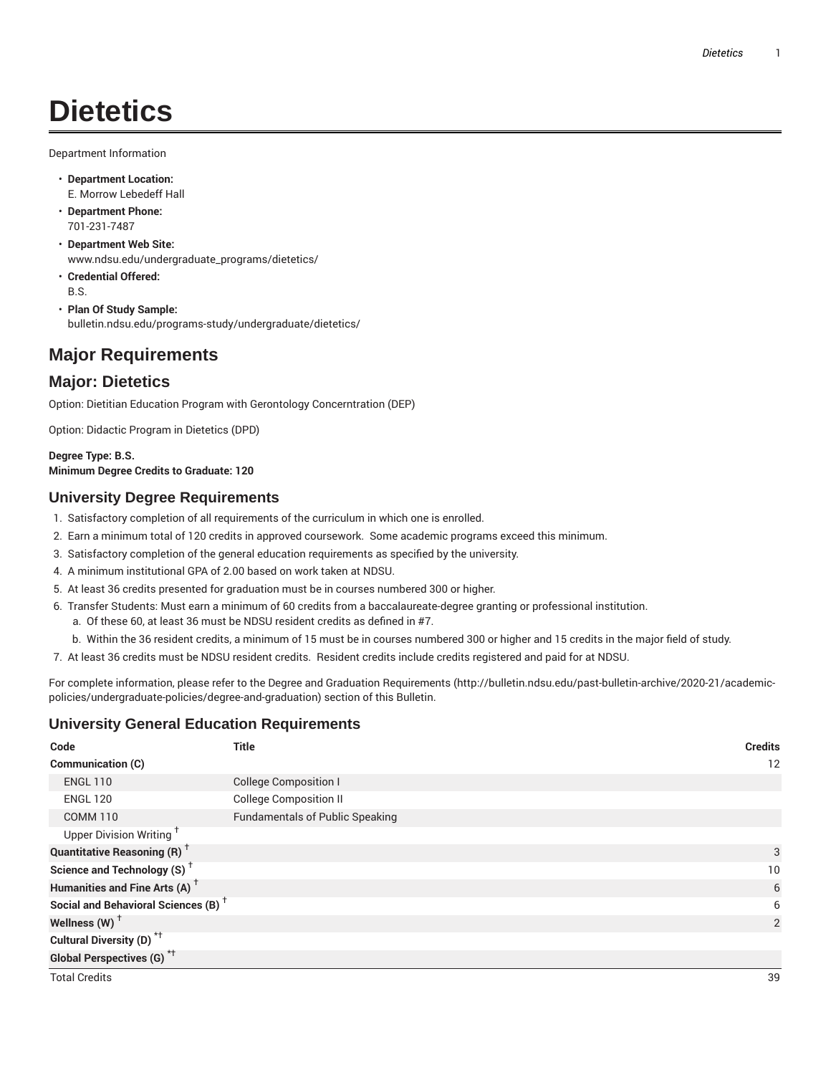# **Dietetics**

Department Information

- **Department Location:** E. Morrow Lebedeff Hall
- **Department Phone:** 701-231-7487
- **Department Web Site:** www.ndsu.edu/undergraduate\_programs/dietetics/
- **Credential Offered:** B.S.
- **Plan Of Study Sample:** bulletin.ndsu.edu/programs-study/undergraduate/dietetics/

## **Major Requirements**

## **Major: Dietetics**

Option: Dietitian Education Program with Gerontology Concerntration (DEP)

Option: Didactic Program in Dietetics (DPD)

#### **Degree Type: B.S. Minimum Degree Credits to Graduate: 120**

### **University Degree Requirements**

- 1. Satisfactory completion of all requirements of the curriculum in which one is enrolled.
- 2. Earn a minimum total of 120 credits in approved coursework. Some academic programs exceed this minimum.
- 3. Satisfactory completion of the general education requirements as specified by the university.
- 4. A minimum institutional GPA of 2.00 based on work taken at NDSU.
- 5. At least 36 credits presented for graduation must be in courses numbered 300 or higher.
- 6. Transfer Students: Must earn a minimum of 60 credits from a baccalaureate-degree granting or professional institution. a. Of these 60, at least 36 must be NDSU resident credits as defined in #7.
	- b. Within the 36 resident credits, a minimum of 15 must be in courses numbered 300 or higher and 15 credits in the major field of study.
- 7. At least 36 credits must be NDSU resident credits. Resident credits include credits registered and paid for at NDSU.

For complete information, please refer to the Degree and Graduation Requirements (http://bulletin.ndsu.edu/past-bulletin-archive/2020-21/academicpolicies/undergraduate-policies/degree-and-graduation) section of this Bulletin.

### **University General Education Requirements**

| Code                                            | <b>Title</b>                           | <b>Credits</b> |
|-------------------------------------------------|----------------------------------------|----------------|
| Communication (C)                               |                                        | 12             |
| <b>ENGL 110</b>                                 | <b>College Composition I</b>           |                |
| <b>ENGL 120</b>                                 | <b>College Composition II</b>          |                |
| <b>COMM 110</b>                                 | <b>Fundamentals of Public Speaking</b> |                |
| Upper Division Writing <sup>+</sup>             |                                        |                |
| <b>Quantitative Reasoning (R)</b> <sup>†</sup>  |                                        | 3              |
| Science and Technology (S) <sup>+</sup>         |                                        | 10             |
| Humanities and Fine Arts (A) <sup>+</sup>       |                                        | 6              |
| Social and Behavioral Sciences (B) <sup>+</sup> |                                        | 6              |
| Wellness (W) $^{\dagger}$                       |                                        | $\overline{2}$ |
| Cultural Diversity (D) <sup>*†</sup>            |                                        |                |
| <b>Global Perspectives (G)<sup>*†</sup></b>     |                                        |                |
| <b>Total Credits</b>                            |                                        | 39             |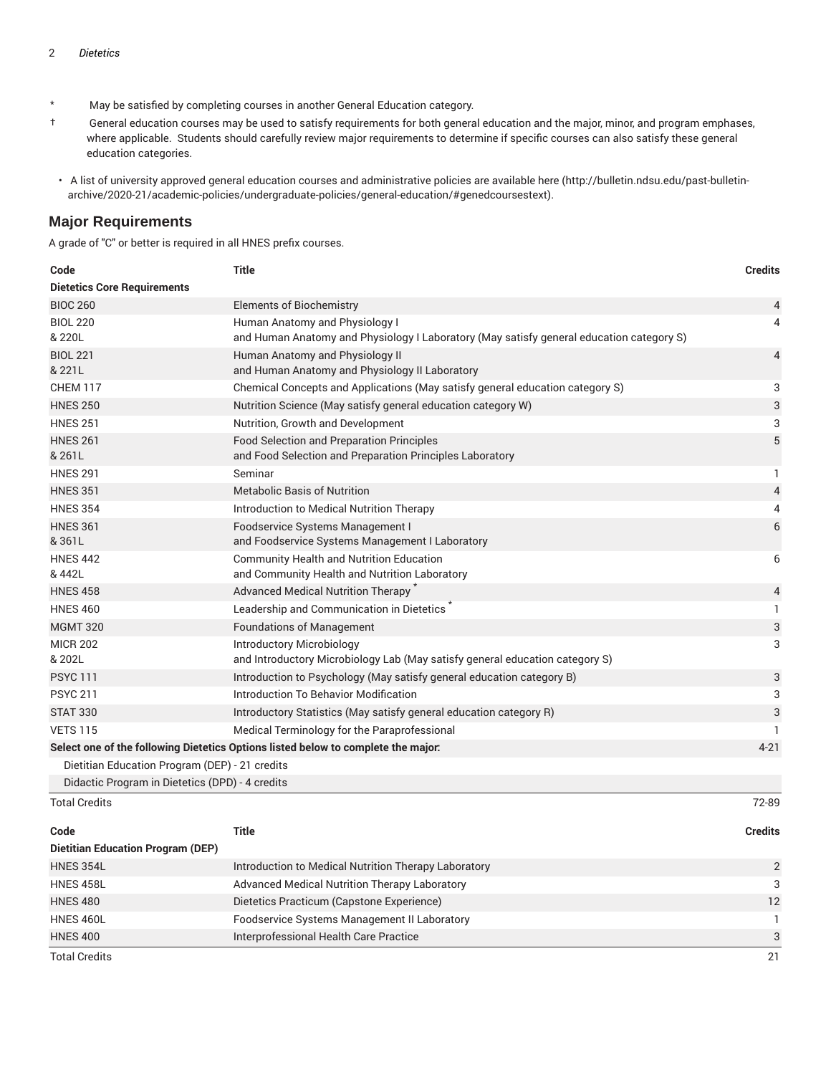- \* May be satisfied by completing courses in another General Education category.
- † General education courses may be used to satisfy requirements for both general education and the major, minor, and program emphases, where applicable. Students should carefully review major requirements to determine if specific courses can also satisfy these general education categories.
- A list of university approved general education courses and administrative policies are available here (http://bulletin.ndsu.edu/past-bulletinarchive/2020-21/academic-policies/undergraduate-policies/general-education/#genedcoursestext).

#### **Major Requirements**

A grade of "C" or better is required in all HNES prefix courses.

| Code                                            | <b>Title</b>                                                                             | <b>Credits</b> |
|-------------------------------------------------|------------------------------------------------------------------------------------------|----------------|
| <b>Dietetics Core Requirements</b>              |                                                                                          |                |
| <b>BIOC 260</b>                                 | <b>Elements of Biochemistry</b>                                                          | 4              |
| <b>BIOL 220</b>                                 | Human Anatomy and Physiology I                                                           | 4              |
| & 220L                                          | and Human Anatomy and Physiology I Laboratory (May satisfy general education category S) |                |
| <b>BIOL 221</b>                                 | Human Anatomy and Physiology II                                                          | $\overline{4}$ |
| & 221L                                          | and Human Anatomy and Physiology II Laboratory                                           |                |
| <b>CHEM 117</b>                                 | Chemical Concepts and Applications (May satisfy general education category S)            | 3              |
| <b>HNES 250</b>                                 | Nutrition Science (May satisfy general education category W)                             | 3              |
| <b>HNES 251</b>                                 | Nutrition, Growth and Development                                                        | 3              |
| <b>HNES 261</b>                                 | Food Selection and Preparation Principles                                                | $\sqrt{5}$     |
| & 261L                                          | and Food Selection and Preparation Principles Laboratory                                 |                |
| <b>HNES 291</b>                                 | Seminar                                                                                  | 1              |
| <b>HNES 351</b>                                 | <b>Metabolic Basis of Nutrition</b>                                                      | 4              |
| <b>HNES 354</b>                                 | Introduction to Medical Nutrition Therapy                                                | 4              |
| <b>HNES 361</b>                                 | Foodservice Systems Management I                                                         | 6              |
| &361L                                           | and Foodservice Systems Management I Laboratory                                          |                |
| <b>HNES 442</b>                                 | <b>Community Health and Nutrition Education</b>                                          | 6              |
| & 442L                                          | and Community Health and Nutrition Laboratory                                            |                |
| <b>HNES 458</b>                                 | Advanced Medical Nutrition Therapy                                                       | 4              |
| <b>HNES 460</b>                                 | Leadership and Communication in Dietetics                                                | $\mathbf{1}$   |
| <b>MGMT 320</b>                                 | <b>Foundations of Management</b>                                                         | 3              |
| <b>MICR 202</b>                                 | Introductory Microbiology                                                                | 3              |
| & 202L                                          | and Introductory Microbiology Lab (May satisfy general education category S)             |                |
| <b>PSYC 111</b>                                 | Introduction to Psychology (May satisfy general education category B)                    | 3              |
| <b>PSYC 211</b>                                 | Introduction To Behavior Modification                                                    | 3              |
| <b>STAT 330</b>                                 | Introductory Statistics (May satisfy general education category R)                       | 3              |
| <b>VETS 115</b>                                 | Medical Terminology for the Paraprofessional                                             | 1.             |
|                                                 | Select one of the following Dietetics Options listed below to complete the major:        | $4 - 21$       |
| Dietitian Education Program (DEP) - 21 credits  |                                                                                          |                |
| Didactic Program in Dietetics (DPD) - 4 credits |                                                                                          |                |
| <b>Total Credits</b>                            |                                                                                          | 72-89          |
|                                                 |                                                                                          |                |

| Code                                     | Title                                                | <b>Credits</b> |
|------------------------------------------|------------------------------------------------------|----------------|
| <b>Dietitian Education Program (DEP)</b> |                                                      |                |
| HNES 354L                                | Introduction to Medical Nutrition Therapy Laboratory | $\mathcal{P}$  |
| HNES 458L                                | Advanced Medical Nutrition Therapy Laboratory        | 3              |
| <b>HNES 480</b>                          | Dietetics Practicum (Capstone Experience)            | 12             |
| HNES 460L                                | Foodservice Systems Management II Laboratory         |                |
| <b>HNES 400</b>                          | Interprofessional Health Care Practice               | 3              |
| <b>Total Credits</b>                     |                                                      | 21             |